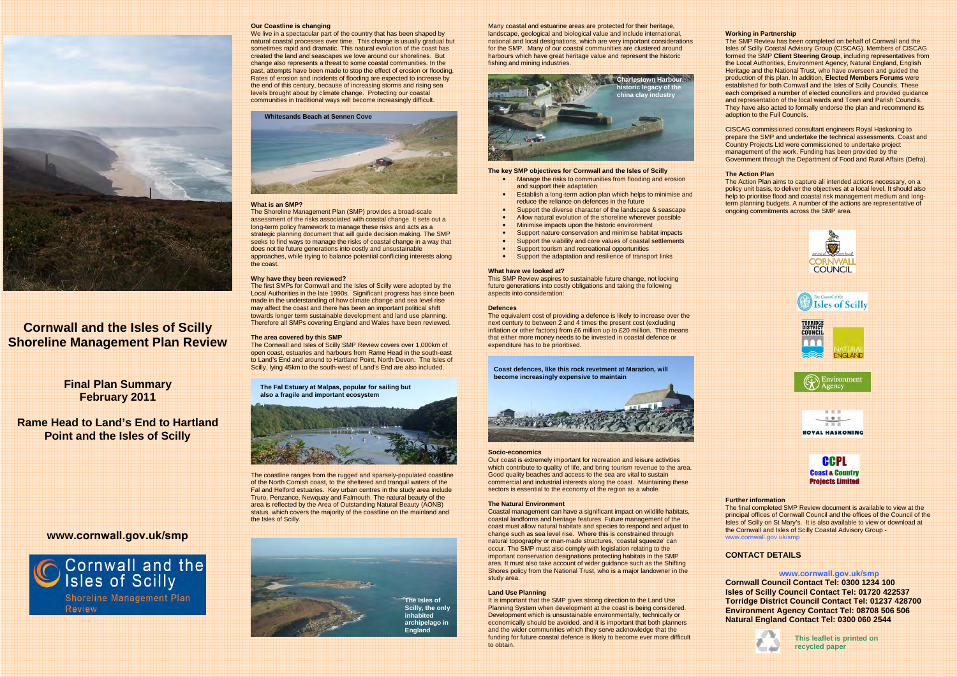

# **Cornwall and the Isles of Scilly Shoreline Management Plan Review**

# **Final Plan Summary February 2011**

**Rame Head to Land's End to Hartland Point and the Isles of Scilly** 

# **www[.cornwall.gov.uk/smp](www.cornwall.gov.uk/smp)**



#### **Our Coastline is changing**

We live in a spectacular part of the country that has been shaped by natural coastal processes over time. This change is usually gradual but sometimes rapid and dramatic. This natural evolution of the coast has created the land and seascapes we love around our shorelines. But change also represents a threat to some coastal communities. In the past, attempts have been made to stop the effect of erosion or flooding. Rates of erosion and incidents of flooding are expected to increase by the end of this century, because of increasing storms and rising sea levels brought about by climate change. Protecting our coastal communities in traditional ways will become increasingly difficult.

#### **Whitesands Beach at Sennen Cove**



#### **What is an SMP?**

The Shoreline Management Plan (SMP) provides a broad-scale assessment of the risks associated with coastal change. It sets out a long-term policy framework to manage these risks and acts as a strategic planning document that will guide decision making. The SMP seeks to find ways to manage the risks of coastal change in a way that does not tie future generations into costly and unsustainable approaches, while trying to balance potential conflicting interests along the coast.

#### **Why have they been reviewed?**

The first SMPs for Cornwall and the Isles of Scilly were adopted by the Local Authorities in the late 1990s. Significant progress has since been made in the understanding of how climate change and sea level rise may affect the coast and there has been an important political shift towards longer term sustainable development and land use planning. Therefore all SMPs covering England and Wales have been reviewed.

#### **The area covered by this SMP**

The Cornwall and Isles of Scilly SMP Review covers over 1,000km of open coast, estuaries and harbours from Rame Head in the south-east to Land's End and around to Hartland Point, North Devon. The Isles of Scilly, lying 45km to the south-west of Land's End are also included.

**The Fal Estuary at Malpas, popular for sailing but also a fragile and important ecosystem** 



Our coast is extremely important for recreation and leisure activities which contribute to quality of life, and bring tourism revenue to the area. Good quality beaches and access to the sea are vital to sustain commercial and industrial interests along the coast. Maintaining these sectors is essential to the economy of the region as a whole.

The coastline ranges from the rugged and sparsely-populated coastline of the North Cornish coast, to the sheltered and tranquil waters of the Fal and Helford estuaries. Key urban centres in the study area include Truro, Penzance, Newquay and Falmouth. The natural beauty of the area is reflected by the Area of Outstanding Natural Beauty (AONB) status, which covers the majority of the coastline on the mainland and the Isles of Scilly.



Many coastal and estuarine areas are protected for their heritage, landscape, geological and biological value and include international, national and local designations, which are very important considerations for the SMP. Many of our coastal communities are clustered around harbours which have great heritage value and represent the historic fishing and mining industries.

It is important that the SMP gives strong direction to the Land Use Planning System when development at the coast is being considered. Development which is unsustainable environmentally, technically or economically should be avoided. and it is important that both planners and the wider communities which they serve acknowledge that the funding for future coastal defence is likely to become ever more difficult to obtain.



#### **The key SMP objectives for Cornwall and the Isles of Scilly**

- • Manage the risks to communities from flooding and erosion and support their adaptation
- • Establish a long-term action plan which helps to minimise and reduce the reliance on defences in the future
- •Support the diverse character of the landscape & seascape
- •Allow natural evolution of the shoreline wherever possible
- •Minimise impacts upon the historic environment
- •Support nature conservation and minimise habitat impacts
- •Support the viability and core values of coastal settlements
- •Support tourism and recreational opportunities
- •Support the adaptation and resilience of transport links

#### **What have we looked at?**

 This SMP Review aspires to sustainable future change, not locking future generations into costly obligations and taking the following aspects into consideration:

#### **Defences**

The equivalent cost of providing a defence is likely to increase over the next century to between 2 and 4 times the present cost (excluding inflation or other factors) from £6 million up to £20 million. This means that either more money needs to be invested in coastal defence or expenditure has to be prioritised.

**Coast defences, like this rock revetment at Marazion, will become increasingly expensive to maintain** 



#### **Socio-economics**

#### **The Natural Environment**

Coastal management can have a significant impact on wildlife habitats, coastal landforms and heritage features. Future management of the coast must allow natural habitats and species to respond and adjust to change such as sea level rise. Where this is constrained through natural topography or man-made structures, 'coastal squeeze' can occur. The SMP must also comply with legislation relating to the important conservation designations protecting habitats in the SMP area. It must also take account of wider guidance such as the Shifting Shores policy from the National Trust, who is a major landowner in the study area.

#### **Land Use Planning**

#### **Working in Partnership**

The SMP Review has been completed on behalf of Cornwall and the Isles of Scilly Coastal Advisory Group (CISCAG). Members of CISCAG formed the SMP **Client Steering Group**, including representatives from the Local Authorities, Environment Agency, Natural England, English Heritage and the National Trust, who have overseen and guided the production of this plan. In addition, **Elected Members Forums** were established for both Cornwall and the Isles of Scilly Councils. These each comprised a number of elected councillors and provided guidance and representation of the local wards and Town and Parish Councils. They have also acted to formally endorse the plan and recommend its adoption to the Full Councils.

CISCAG commissioned consultant engineers Royal Haskoning to prepare the SMP and undertake the technical assessments. Coast and Country Projects Ltd were commissioned to undertake project management of the work. Funding has been provided by the Government through the Department of Food and Rural Affairs (Defra).

#### **The Action Plan**

 The Action Plan aims to capture all intended actions necessary, on a policy unit basis, to deliver the objectives at a local level. It should also help to prioritise flood and coastal risk management medium and longterm planning budgets. A number of the actions are representative of ongoing commitments across the SMP area.



#### **Further information**

 The final completed SMP Review document is available to view at the principal offices of Cornwall Council and the offices of the Council of the Isles of Scilly on St Mary's. It is also available to view or download at the Cornwall and Isles of Scilly Coastal Advisory Group www.c[ornwall.gov.uk/smp](www.cornwall.gov.uk/smp)

#### **CONTACT DETAILS**

**www.c[ornwall.gov.uk/smp](www.cornwall.gov.uk/smp) Cornwall Council Contact Tel: 0300 1234 100 Isles of Scilly Council Contact Tel: 01720 422537 Torridge District Council Contact Tel: 01237 428700 Environment Agency Contact Tel: 08708 506 506 Natural England Contact Tel: 0300 060 2544** 

> **This leaflet is printed on recycled paper**